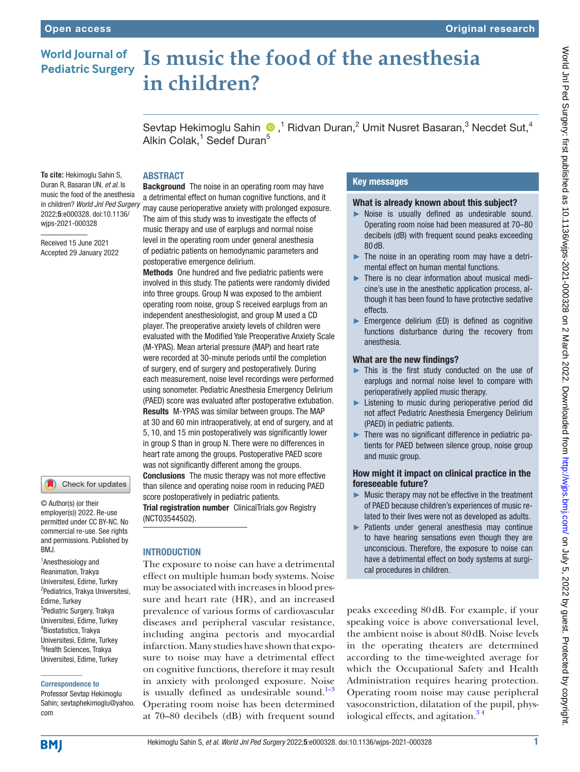## **Is music the food of the anesthesia World Journal of Pediatric Surgery in children?**

Sevtap Hekimoglu Sahin  $\bigcirc$  ,<sup>1</sup> Ridvan Duran,<sup>2</sup> Umit Nusret Basaran,<sup>3</sup> Necdet Sut,<sup>4</sup> Alkin Colak,<sup>1</sup> Sedef Duran<sup>5</sup>

# ABSTRACT

**To cite:** Hekimoglu Sahin S, Duran R, Basaran UN, *et al*. Is music the food of the anesthesia in children? *World Jnl Ped Surgery* 2022;5:e000328. doi:10.1136/ wjps-2021-000328

Received 15 June 2021 Accepted 29 January 2022

#### Check for updates

© Author(s) (or their employer(s)) 2022. Re-use permitted under CC BY-NC. No commercial re-use. See rights and permissions. Published by RM<sub>J</sub>

<sup>1</sup> Anesthesiology and Reanimation, Trakya Universitesi, Edirne, Turkey 2 Pediatrics, Trakya Universitesi, Edirne, Turkey <sup>3</sup>Pediatric Surgery, Trakya Universitesi, Edirne, Turkey 4 Biostatistics, Trakya Universitesi, Edirne, Turkey 5 Health Sciences, Trakya Universitesi, Edirne, Turkey

#### Correspondence to

Professor Sevtap Hekimoglu Sahin; sevtaphekimoglu@yahoo. com

**Background** The noise in an operating room may have a detrimental effect on human cognitive functions, and it may cause perioperative anxiety with prolonged exposure. The aim of this study was to investigate the effects of music therapy and use of earplugs and normal noise level in the operating room under general anesthesia of pediatric patients on hemodynamic parameters and postoperative emergence delirium.

Methods One hundred and five pediatric patients were involved in this study. The patients were randomly divided into three groups. Group N was exposed to the ambient operating room noise, group S received earplugs from an independent anesthesiologist, and group M used a CD player. The preoperative anxiety levels of children were evaluated with the Modified Yale Preoperative Anxiety Scale (M-YPAS). Mean arterial pressure (MAP) and heart rate were recorded at 30-minute periods until the completion of surgery, end of surgery and postoperatively. During each measurement, noise level recordings were performed using sonometer. Pediatric Anesthesia Emergency Delirium (PAED) score was evaluated after postoperative extubation. Results M-YPAS was similar between groups. The MAP at 30 and 60 min intraoperatively, at end of surgery, and at 5, 10, and 15 min postoperatively was significantly lower in group S than in group N. There were no differences in heart rate among the groups. Postoperative PAED score was not significantly different among the groups. Conclusions The music therapy was not more effective than silence and operating noise room in reducing PAED score postoperatively in pediatric patients. Trial registration number ClinicalTrials.gov Registry [\(NCT03544502](NCT03544502)).

## **INTRODUCTION**

The exposure to noise can have a detrimental effect on multiple human body systems. Noise may be associated with increases in blood pressure and heart rate (HR), and an increased prevalence of various forms of cardiovascular diseases and peripheral vascular resistance, including angina pectoris and myocardial infarction. Many studies have shown that exposure to noise may have a detrimental effect on cognitive functions, therefore it may result in anxiety with prolonged exposure. Noise is usually defined as undesirable sound. $1-3$ Operating room noise has been determined at 70–80 decibels (dB) with frequent sound

## Key messages

### What is already known about this subject?

- ► Noise is usually defined as undesirable sound. Operating room noise had been measured at 70–80 decibels (dB) with frequent sound peaks exceeding 80 dB.
- ► The noise in an operating room may have a detrimental effect on human mental functions.
- ► There is no clear information about musical medicine's use in the anesthetic application process, although it has been found to have protective sedative effects.
- ► Emergence delirium (ED) is defined as cognitive functions disturbance during the recovery from anesthesia.

#### What are the new findings?

- ► This is the first study conducted on the use of earplugs and normal noise level to compare with perioperatively applied music therapy.
- ► Listening to music during perioperative period did not affect Pediatric Anesthesia Emergency Delirium (PAED) in pediatric patients.
- ► There was no significant difference in pediatric patients for PAED between silence group, noise group and music group.

### How might it impact on clinical practice in the foreseeable future?

- $\blacktriangleright$  Music therapy may not be effective in the treatment of PAED because children's experiences of music related to their lives were not as developed as adults.
- ► Patients under general anesthesia may continue to have hearing sensations even though they are unconscious. Therefore, the exposure to noise can have a detrimental effect on body systems at surgical procedures in children.

peaks exceeding 80dB. For example, if your speaking voice is above conversational level, the ambient noise is about 80dB. Noise levels in the operating theaters are determined according to the time-weighted average for which the Occupational Safety and Health Administration requires hearing protection. Operating room noise may cause peripheral vasoconstriction, dilatation of the pupil, physiological effects, and agitation.<sup>34</sup>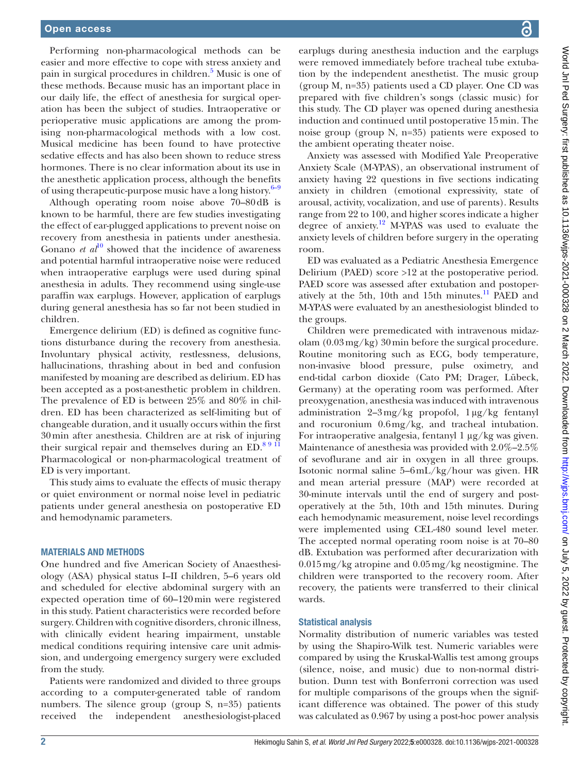Performing non-pharmacological methods can be easier and more effective to cope with stress anxiety and pain in surgical procedures in children.<sup>[5](#page-4-1)</sup> Music is one of these methods. Because music has an important place in our daily life, the effect of anesthesia for surgical operation has been the subject of studies. Intraoperative or perioperative music applications are among the promising non-pharmacological methods with a low cost. Musical medicine has been found to have protective sedative effects and has also been shown to reduce stress hormones. There is no clear information about its use in the anesthetic application process, although the benefits of using therapeutic-purpose music have a long history. $6-9$ 

Although operating room noise above 70–80dB is known to be harmful, there are few studies investigating the effect of ear-plugged applications to prevent noise on recovery from anesthesia in patients under anesthesia. Gonano *et al*<sup>[10](#page-4-3)</sup> showed that the incidence of awareness and potential harmful intraoperative noise were reduced when intraoperative earplugs were used during spinal anesthesia in adults. They recommend using single-use paraffin wax earplugs. However, application of earplugs during general anesthesia has so far not been studied in children.

Emergence delirium (ED) is defined as cognitive functions disturbance during the recovery from anesthesia. Involuntary physical activity, restlessness, delusions, hallucinations, thrashing about in bed and confusion manifested by moaning are described as delirium. ED has been accepted as a post-anesthetic problem in children. The prevalence of ED is between 25% and 80% in children. ED has been characterized as self-limiting but of changeable duration, and it usually occurs within the first 30min after anesthesia. Children are at risk of injuring their surgical repair and themselves during an ED. $89\bar{11}$ Pharmacological or non-pharmacological treatment of ED is very important.

This study aims to evaluate the effects of music therapy or quiet environment or normal noise level in pediatric patients under general anesthesia on postoperative ED and hemodynamic parameters.

#### MATERIALS AND METHODS

One hundred and five American Society of Anaesthesiology (ASA) physical status I–II children, 5–6 years old and scheduled for elective abdominal surgery with an expected operation time of 60–120min were registered in this study. Patient characteristics were recorded before surgery. Children with cognitive disorders, chronic illness, with clinically evident hearing impairment, unstable medical conditions requiring intensive care unit admission, and undergoing emergency surgery were excluded from the study.

Patients were randomized and divided to three groups according to a computer-generated table of random numbers. The silence group (group S, n=35) patients received the independent anesthesiologist-placed

World Jnl Ped Surgery: first published as 10.1136/wjps-2021-000328 on 2 March 2022. Downloaded from http://wjps.bmj.com/ on July 5, 2022 by guest. Protected by copyright World Jnl Ped Surgery: first published as 10.1136/wjps-2021-000328 on 2 March 2022. Downloaded from <http://wjps.bmj.com/> on July 5, 2022 by guest. Protected by copyright.

earplugs during anesthesia induction and the earplugs were removed immediately before tracheal tube extubation by the independent anesthetist. The music group (group M, n=35) patients used a CD player. One CD was prepared with five children's songs (classic music) for this study. The CD player was opened during anesthesia induction and continued until postoperative 15min. The noise group (group N, n=35) patients were exposed to the ambient operating theater noise.

Anxiety was assessed with Modified Yale Preoperative Anxiety Scale (M-YPAS), an observational instrument of anxiety having 22 questions in five sections indicating anxiety in children (emotional expressivity, state of arousal, activity, vocalization, and use of parents). Results range from 22 to 100, and higher scores indicate a higher degree of anxiety.[12](#page-4-5) M-YPAS was used to evaluate the anxiety levels of children before surgery in the operating room.

ED was evaluated as a Pediatric Anesthesia Emergence Delirium (PAED) score >12 at the postoperative period. PAED score was assessed after extubation and postoperatively at the 5th, 10th and 15th minutes.<sup>11</sup> PAED and M-YPAS were evaluated by an anesthesiologist blinded to the groups.

Children were premedicated with intravenous midazolam (0.03mg/kg) 30min before the surgical procedure. Routine monitoring such as ECG, body temperature, non-invasive blood pressure, pulse oximetry, and end-tidal carbon dioxide (Cato PM; Drager, Lübeck, Germany) at the operating room was performed. After preoxygenation, anesthesia was induced with intravenous administration 2–3mg/kg propofol, 1µg/kg fentanyl and rocuronium 0.6mg/kg, and tracheal intubation. For intraoperative analgesia, fentanyl  $1 \mu g/kg$  was given. Maintenance of anesthesia was provided with 2.0%–2.5% of sevoflurane and air in oxygen in all three groups. Isotonic normal saline 5–6mL/kg/hour was given. HR and mean arterial pressure (MAP) were recorded at 30-minute intervals until the end of surgery and postoperatively at the 5th, 10th and 15th minutes. During each hemodynamic measurement, noise level recordings were implemented using CEL-480 sound level meter. The accepted normal operating room noise is at 70–80 dB. Extubation was performed after decurarization with 0.015mg/kg atropine and 0.05mg/kg neostigmine. The children were transported to the recovery room. After recovery, the patients were transferred to their clinical wards.

#### Statistical analysis

Normality distribution of numeric variables was tested by using the Shapiro-Wilk test. Numeric variables were compared by using the Kruskal-Wallis test among groups (silence, noise, and music) due to non-normal distribution. Dunn test with Bonferroni correction was used for multiple comparisons of the groups when the significant difference was obtained. The power of this study was calculated as 0.967 by using a post-hoc power analysis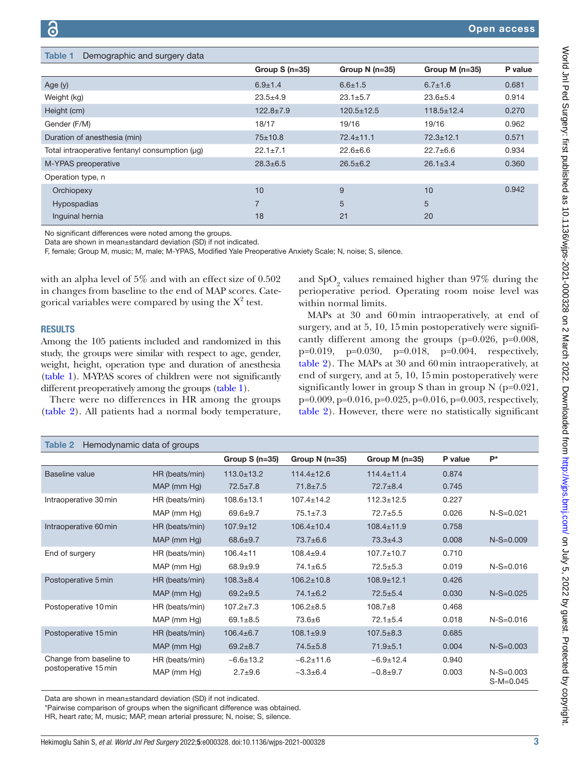<span id="page-2-0"></span>

| Demographic and surgery data<br>Table 1        |                 |                  |                  |         |
|------------------------------------------------|-----------------|------------------|------------------|---------|
|                                                | Group $S(n=35)$ | Group $N(n=35)$  | Group M $(n=35)$ | P value |
| Age $(y)$                                      | $6.9 \pm 1.4$   | $6.6 \pm 1.5$    | $6.7 \pm 1.6$    | 0.681   |
| Weight (kg)                                    | $23.5 + 4.9$    | $23.1 \pm 5.7$   | $23.6 + 5.4$     | 0.914   |
| Height (cm)                                    | $122.8 \pm 7.9$ | $120.5 \pm 12.5$ | $118.5 \pm 12.4$ | 0.270   |
| Gender (F/M)                                   | 18/17           | 19/16            | 19/16            | 0.962   |
| Duration of anesthesia (min)                   | $75 + 10.8$     | $72.4 \pm 11.1$  | $72.3 \pm 12.1$  | 0.571   |
| Total intraoperative fentanyl consumption (uq) | $22.1 \pm 7.1$  | $22.6 \pm 6.6$   | $22.7 \pm 6.6$   | 0.934   |
| M-YPAS preoperative                            | $28.3 \pm 6.5$  | $26.5 \pm 6.2$   | $26.1 \pm 3.4$   | 0.360   |
| Operation type, n                              |                 |                  |                  |         |
| Orchiopexy                                     | 10              | 9                | 10               | 0.942   |
| Hypospadias                                    | $\overline{7}$  | 5                | 5                |         |
| Inquinal hernia                                | 18              | 21               | 20               |         |

No significant differences were noted among the groups.

Data are shown in mean±standard deviation (SD) if not indicated.

F, female; Group M, music; M, male; M-YPAS, Modified Yale Preoperative Anxiety Scale; N, noise; S, silence.

with an alpha level of 5% and with an effect size of 0.502 in changes from baseline to the end of MAP scores. Categorical variables were compared by using the  $X^2$  test.

# and  $\text{SpO}_2$  values remained higher than 97% during the perioperative period. Operating room noise level was within normal limits.

RESULTS

Among the 105 patients included and randomized in this study, the groups were similar with respect to age, gender, weight, height, operation type and duration of anesthesia [\(table](#page-2-0) 1). M-YPAS scores of children were not significantly different preoperatively among the groups ([table](#page-2-0) 1).

There were no differences in HR among the groups [\(table](#page-2-1) 2). All patients had a normal body temperature,

MAPs at 30 and 60min intraoperatively, at end of surgery, and at 5, 10, 15min postoperatively were significantly different among the groups (p=0.026, p=0.008, p=0.019, p=0.030, p=0.018, p=0.004, respectively, [table](#page-2-1) 2). The MAPs at 30 and 60min intraoperatively, at end of surgery, and at 5, 10, 15min postoperatively were significantly lower in group S than in group N (p=0.021, p=0.009, p=0.016, p=0.025, p=0.016, p=0.003, respectively, [table](#page-2-1) 2). However, there were no statistically significant

<span id="page-2-1"></span>

| Hemodynamic data of groups<br>Table 2           |                |                  |                  |                  |         |                            |  |  |  |  |
|-------------------------------------------------|----------------|------------------|------------------|------------------|---------|----------------------------|--|--|--|--|
|                                                 |                | Group $S(n=35)$  | Group $N(n=35)$  | Group M $(n=35)$ | P value | $P^*$                      |  |  |  |  |
| Baseline value                                  | HR (beats/min) | $113.0 \pm 13.2$ | $114.4 \pm 12.6$ | $114.4 \pm 11.4$ | 0.874   |                            |  |  |  |  |
|                                                 | MAP (mm Hg)    | $72.5 \pm 7.8$   | $71.8 \pm 7.5$   | $72.7 \pm 8.4$   | 0.745   |                            |  |  |  |  |
| Intraoperative 30 min                           | HR (beats/min) | $108.6 \pm 13.1$ | $107.4 \pm 14.2$ | $112.3 \pm 12.5$ | 0.227   |                            |  |  |  |  |
|                                                 | MAP (mm Hg)    | $69.6 + 9.7$     | $75.1 \pm 7.3$   | $72.7 + 5.5$     | 0.026   | $N-S=0.021$                |  |  |  |  |
| Intraoperative 60 min                           | HR (beats/min) | $107.9 \pm 12$   | $106.4 \pm 10.4$ | $108.4 \pm 11.9$ | 0.758   |                            |  |  |  |  |
|                                                 | MAP (mm Hg)    | $68.6 + 9.7$     | $73.7 \pm 6.6$   | $73.3 + 4.3$     | 0.008   | $N-S=0.009$                |  |  |  |  |
| End of surgery                                  | HR (beats/min) | $106.4 \pm 11$   | $108.4 + 9.4$    | $107.7 \pm 10.7$ | 0.710   |                            |  |  |  |  |
|                                                 | MAP (mm Hg)    | $68.9 + 9.9$     | $74.1 \pm 6.5$   | $72.5 + 5.3$     | 0.019   | $N-S=0.016$                |  |  |  |  |
| Postoperative 5 min                             | HR (beats/min) | $108.3 \pm 8.4$  | $106.2 \pm 10.8$ | $108.9 \pm 12.1$ | 0.426   |                            |  |  |  |  |
|                                                 | MAP (mm Hg)    | $69.2 + 9.5$     | $74.1 \pm 6.2$   | $72.5 \pm 5.4$   | 0.030   | $N-S=0.025$                |  |  |  |  |
| Postoperative 10 min                            | HR (beats/min) | $107.2 + 7.3$    | $106.2 + 8.5$    | $108.7 + 8$      | 0.468   |                            |  |  |  |  |
|                                                 | MAP (mm Hg)    | $69.1 \pm 8.5$   | $73.6 \pm 6$     | $72.1 + 5.4$     | 0.018   | $N-S=0.016$                |  |  |  |  |
| Postoperative 15 min                            | HR (beats/min) | $106.4 \pm 6.7$  | $108.1 \pm 9.9$  | $107.5 \pm 8.3$  | 0.685   |                            |  |  |  |  |
|                                                 | MAP (mm Hg)    | $69.2 + 8.7$     | $74.5 + 5.8$     | $71.9 + 5.1$     | 0.004   | $N-S=0.003$                |  |  |  |  |
| Change from baseline to<br>postoperative 15 min | HR (beats/min) | $-6.6 \pm 13.2$  | $-6.2 \pm 11.6$  | $-6.9 \pm 12.4$  | 0.940   |                            |  |  |  |  |
|                                                 | MAP (mm Hg)    | $2.7 + 9.6$      | $-3.3+6.4$       | $-0.8 + 9.7$     | 0.003   | $N-S=0.003$<br>$S-M=0.045$ |  |  |  |  |

Data are shown in mean±standard deviation (SD) if not indicated.

\*Pairwise comparison of groups when the significant difference was obtained.

HR, heart rate; M, music; MAP, mean arterial pressure; N, noise; S, silence.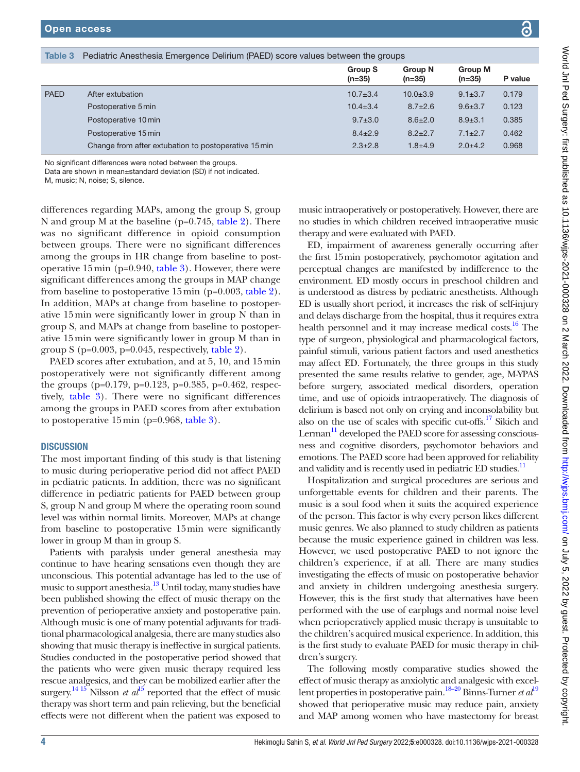<span id="page-3-0"></span>No significant differences were noted between the groups.

Data are shown in mean±standard deviation (SD) if not indicated.

M, music; N, noise; S, silence.

differences regarding MAPs, among the group S, group N and group M at the baseline (p=0.745, [table](#page-2-1) 2). There was no significant difference in opioid consumption between groups. There were no significant differences among the groups in HR change from baseline to postoperative 15min (p=0.940, [table](#page-3-0) 3). However, there were significant differences among the groups in MAP change from baseline to postoperative 15min (p=0.003, [table](#page-2-1) 2). In addition, MAPs at change from baseline to postoperative 15min were significantly lower in group N than in group S, and MAPs at change from baseline to postoperative 15min were significantly lower in group M than in group S ( $p=0.003$ ,  $p=0.045$ , respectively, [table](#page-2-1) 2).

PAED scores after extubation, and at 5, 10, and 15min postoperatively were not significantly different among the groups (p=0.179, p=0.123, p=0.385, p=0.462, respectively, [table](#page-3-0) 3). There were no significant differences among the groups in PAED scores from after extubation to postoperative 15min (p=0.968, [table](#page-3-0) 3).

#### **DISCUSSION**

The most important finding of this study is that listening to music during perioperative period did not affect PAED in pediatric patients. In addition, there was no significant difference in pediatric patients for PAED between group S, group N and group M where the operating room sound level was within normal limits. Moreover, MAPs at change from baseline to postoperative 15min were significantly lower in group M than in group S.

Patients with paralysis under general anesthesia may continue to have hearing sensations even though they are unconscious. This potential advantage has led to the use of music to support anesthesia.<sup>13</sup> Until today, many studies have been published showing the effect of music therapy on the prevention of perioperative anxiety and postoperative pain. Although music is one of many potential adjuvants for traditional pharmacological analgesia, there are many studies also showing that music therapy is ineffective in surgical patients. Studies conducted in the postoperative period showed that the patients who were given music therapy required less rescue analgesics, and they can be mobilized earlier after the surgery.<sup>14 [15](#page-4-9)</sup> Nilsson *et al*<sup>15</sup> reported that the effect of music therapy was short term and pain relieving, but the beneficial effects were not different when the patient was exposed to

music intraoperatively or postoperatively. However, there are no studies in which children received intraoperative music therapy and were evaluated with PAED.

ED, impairment of awareness generally occurring after the first 15min postoperatively, psychomotor agitation and perceptual changes are manifested by indifference to the environment. ED mostly occurs in preschool children and is understood as distress by pediatric anesthetists. Although ED is usually short period, it increases the risk of self-injury and delays discharge from the hospital, thus it requires extra health personnel and it may increase medical costs.<sup>16</sup> The type of surgeon, physiological and pharmacological factors, painful stimuli, various patient factors and used anesthetics may affect ED. Fortunately, the three groups in this study presented the same results relative to gender, age, M-YPAS before surgery, associated medical disorders, operation time, and use of opioids intraoperatively. The diagnosis of delirium is based not only on crying and inconsolability but also on the use of scales with specific cut-offs.<sup>17</sup> Sikich and Lerman<sup>11</sup> developed the PAED score for assessing consciousness and cognitive disorders, psychomotor behaviors and emotions. The PAED score had been approved for reliability and validity and is recently used in pediatric ED studies.<sup>11</sup>

Hospitalization and surgical procedures are serious and unforgettable events for children and their parents. The music is a soul food when it suits the acquired experience of the person. This factor is why every person likes different music genres. We also planned to study children as patients because the music experience gained in children was less. However, we used postoperative PAED to not ignore the children's experience, if at all. There are many studies investigating the effects of music on postoperative behavior and anxiety in children undergoing anesthesia surgery. However, this is the first study that alternatives have been performed with the use of earplugs and normal noise level when perioperatively applied music therapy is unsuitable to the children's acquired musical experience. In addition, this is the first study to evaluate PAED for music therapy in children's surgery.

The following mostly comparative studies showed the effect of music therapy as anxiolytic and analgesic with excellent properties in postoperative pain[.18–20](#page-4-12) Binns-Turner *et al*[19](#page-4-13) showed that perioperative music may reduce pain, anxiety and MAP among women who have mastectomy for breast